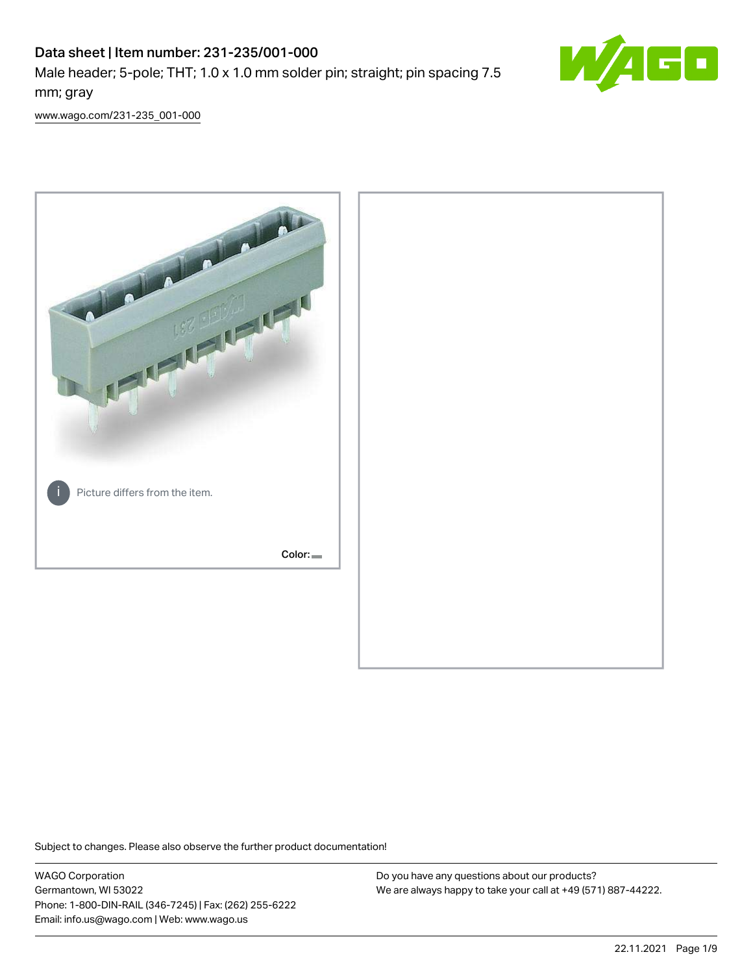# Data sheet | Item number: 231-235/001-000 Male header; 5-pole; THT; 1.0 x 1.0 mm solder pin; straight; pin spacing 7.5 mm; gray



[www.wago.com/231-235\\_001-000](http://www.wago.com/231-235_001-000)



Subject to changes. Please also observe the further product documentation!

WAGO Corporation Germantown, WI 53022 Phone: 1-800-DIN-RAIL (346-7245) | Fax: (262) 255-6222 Email: info.us@wago.com | Web: www.wago.us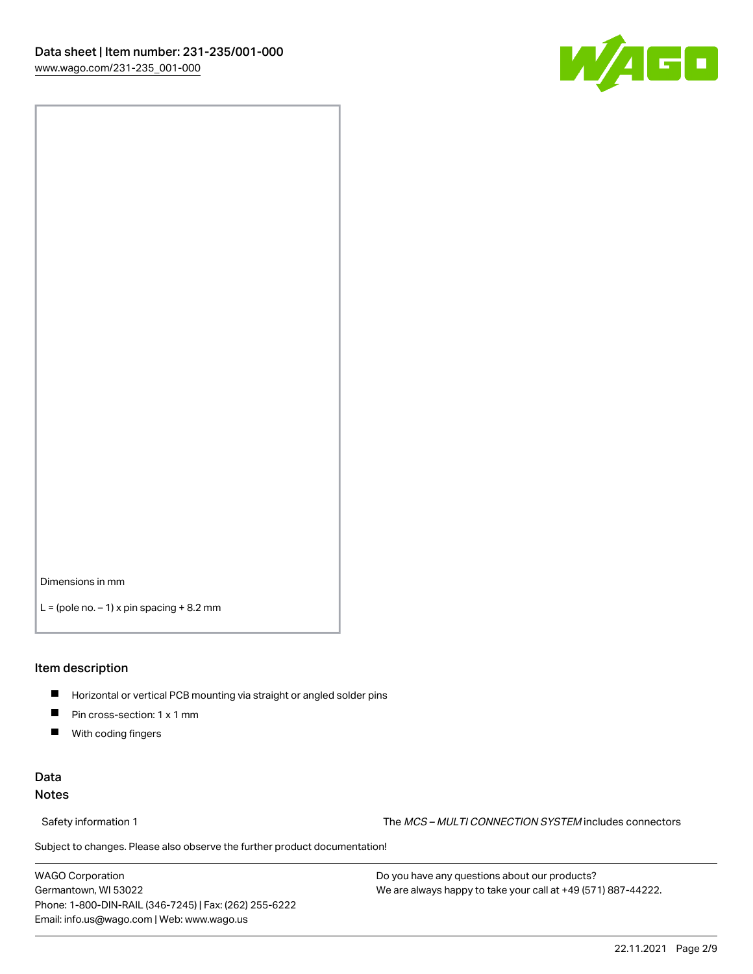

Dimensions in mm

 $L =$  (pole no.  $-1$ ) x pin spacing  $+8.2$  mm

### Item description

- **Horizontal or vertical PCB mounting via straight or angled solder pins**
- **Pin cross-section: 1 x 1 mm**
- $\blacksquare$ With coding fingers

## Data Notes

Safety information 1 The MCS – MULTI CONNECTION SYSTEM includes connectors

Subject to changes. Please also observe the further product documentation!  $\nu$ 

WAGO Corporation Germantown, WI 53022 Phone: 1-800-DIN-RAIL (346-7245) | Fax: (262) 255-6222 Email: info.us@wago.com | Web: www.wago.us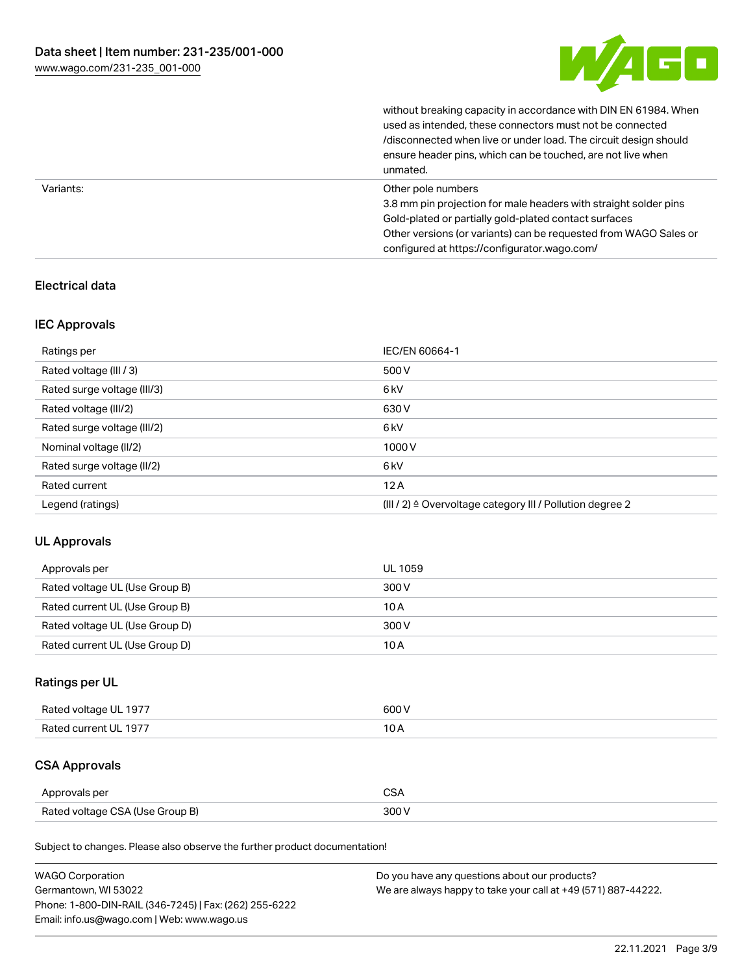

without breaking capacity in accordance with DIN EN 61984. When

|           | used as intended, these connectors must not be connected<br>/disconnected when live or under load. The circuit design should<br>ensure header pins, which can be touched, are not live when<br>unmated.                                                             |
|-----------|---------------------------------------------------------------------------------------------------------------------------------------------------------------------------------------------------------------------------------------------------------------------|
| Variants: | Other pole numbers<br>3.8 mm pin projection for male headers with straight solder pins<br>Gold-plated or partially gold-plated contact surfaces<br>Other versions (or variants) can be requested from WAGO Sales or<br>configured at https://configurator.wago.com/ |

## Electrical data

## IEC Approvals

| Ratings per                 | IEC/EN 60664-1                                                        |
|-----------------------------|-----------------------------------------------------------------------|
| Rated voltage (III / 3)     | 500 V                                                                 |
| Rated surge voltage (III/3) | 6 <sub>kV</sub>                                                       |
| Rated voltage (III/2)       | 630 V                                                                 |
| Rated surge voltage (III/2) | 6 <sub>kV</sub>                                                       |
| Nominal voltage (II/2)      | 1000V                                                                 |
| Rated surge voltage (II/2)  | 6 <sub>kV</sub>                                                       |
| Rated current               | 12A                                                                   |
| Legend (ratings)            | $(III / 2)$ $\triangle$ Overvoltage category III / Pollution degree 2 |

## UL Approvals

| Approvals per                  | UL 1059 |
|--------------------------------|---------|
| Rated voltage UL (Use Group B) | 300 V   |
| Rated current UL (Use Group B) | 10 A    |
| Rated voltage UL (Use Group D) | 300 V   |
| Rated current UL (Use Group D) | 10 A    |

## Ratings per UL

| Rated voltage UL 1977 | 600V   |
|-----------------------|--------|
| Rated current UL 1977 | $\sim$ |

# CSA Approvals

| Approvals per                   | ~~    |
|---------------------------------|-------|
| Rated voltage CSA (Use Group B) | 3UU 1 |

Subject to changes. Please also observe the further product documentation!

| <b>WAGO Corporation</b>                                | Do you have any questions about our products?                 |
|--------------------------------------------------------|---------------------------------------------------------------|
| Germantown, WI 53022                                   | We are always happy to take your call at +49 (571) 887-44222. |
| Phone: 1-800-DIN-RAIL (346-7245)   Fax: (262) 255-6222 |                                                               |
| Email: info.us@wago.com   Web: www.wago.us             |                                                               |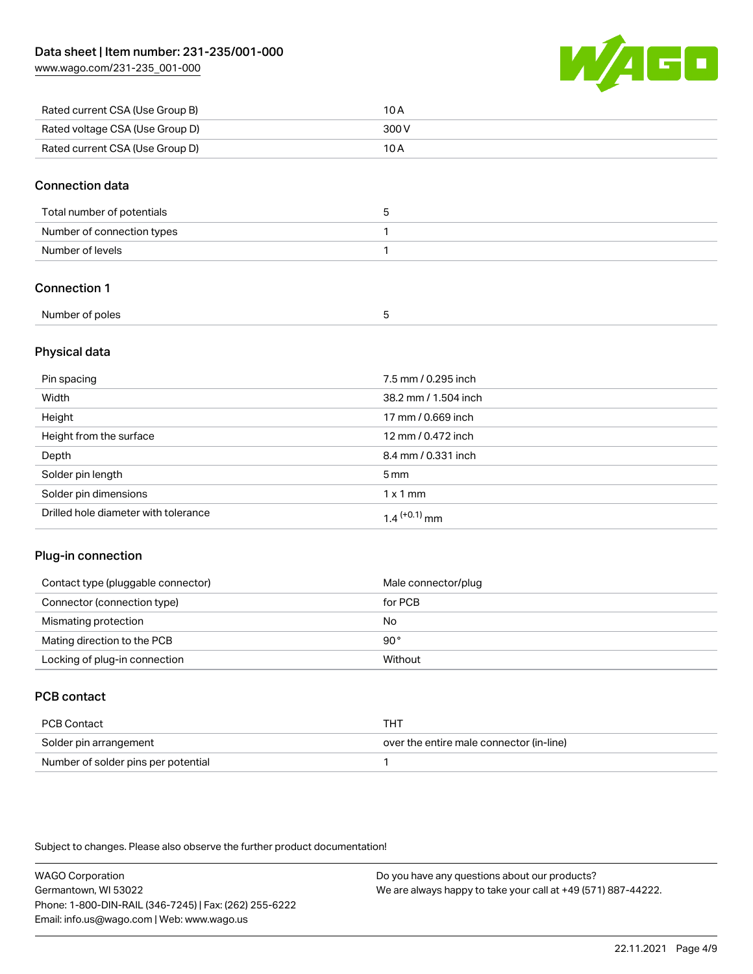[www.wago.com/231-235\\_001-000](http://www.wago.com/231-235_001-000)



| Rated current CSA (Use Group B) | 10 A  |
|---------------------------------|-------|
| Rated voltage CSA (Use Group D) | 300 V |
| Rated current CSA (Use Group D) | 10 A  |

## Connection data

| Total number of potentials |  |
|----------------------------|--|
| Number of connection types |  |
| Number of levels           |  |

## Connection 1

| Number of poles |  |
|-----------------|--|

## Physical data

| Pin spacing                          | 7.5 mm / 0.295 inch        |
|--------------------------------------|----------------------------|
| Width                                | 38.2 mm / 1.504 inch       |
| Height                               | 17 mm / 0.669 inch         |
| Height from the surface              | 12 mm / 0.472 inch         |
| Depth                                | 8.4 mm / 0.331 inch        |
| Solder pin length                    | 5 <sub>mm</sub>            |
| Solder pin dimensions                | $1 \times 1$ mm            |
| Drilled hole diameter with tolerance | $1.4$ <sup>(+0.1)</sup> mm |

## Plug-in connection

| Contact type (pluggable connector) | Male connector/plug |
|------------------------------------|---------------------|
| Connector (connection type)        | for PCB             |
| Mismating protection               | No                  |
| Mating direction to the PCB        | $90^{\circ}$        |
| Locking of plug-in connection      | Without             |

## PCB contact

| PCB Contact                         | THT                                      |
|-------------------------------------|------------------------------------------|
| Solder pin arrangement              | over the entire male connector (in-line) |
| Number of solder pins per potential |                                          |

Subject to changes. Please also observe the further product documentation!

WAGO Corporation Germantown, WI 53022 Phone: 1-800-DIN-RAIL (346-7245) | Fax: (262) 255-6222 Email: info.us@wago.com | Web: www.wago.us Do you have any questions about our products? We are always happy to take your call at +49 (571) 887-44222.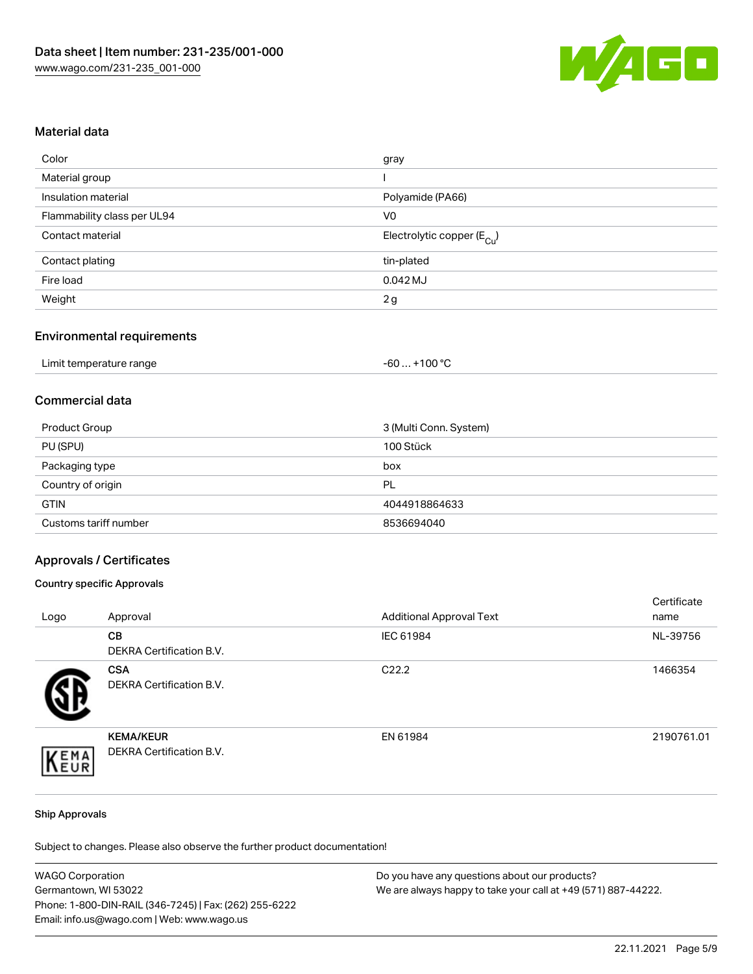

## Material data

| Color                       | gray                                   |
|-----------------------------|----------------------------------------|
| Material group              |                                        |
| Insulation material         | Polyamide (PA66)                       |
| Flammability class per UL94 | V0                                     |
| Contact material            | Electrolytic copper (E <sub>Cu</sub> ) |
| Contact plating             | tin-plated                             |
| Fire load                   | 0.042 MJ                               |
| Weight                      | 2g                                     |
|                             |                                        |

## Environmental requirements

| Limit temperature range | . +100 °C<br>-60 |
|-------------------------|------------------|
|-------------------------|------------------|

## Commercial data

| Product Group         | 3 (Multi Conn. System) |
|-----------------------|------------------------|
| PU (SPU)              | 100 Stück              |
| Packaging type        | box                    |
| Country of origin     | PL                     |
| <b>GTIN</b>           | 4044918864633          |
| Customs tariff number | 8536694040             |

### Approvals / Certificates

### Country specific Approvals

| Logo | Approval                                     | <b>Additional Approval Text</b> | Certificate<br>name |
|------|----------------------------------------------|---------------------------------|---------------------|
|      | CB<br><b>DEKRA Certification B.V.</b>        | IEC 61984                       | NL-39756            |
|      | <b>CSA</b><br>DEKRA Certification B.V.       | C <sub>22.2</sub>               | 1466354             |
| EMA  | <b>KEMA/KEUR</b><br>DEKRA Certification B.V. | EN 61984                        | 2190761.01          |

#### Ship Approvals

Subject to changes. Please also observe the further product documentation!

| <b>WAGO Corporation</b>                                | Do you have any questions about our products?                 |
|--------------------------------------------------------|---------------------------------------------------------------|
| Germantown, WI 53022                                   | We are always happy to take your call at +49 (571) 887-44222. |
| Phone: 1-800-DIN-RAIL (346-7245)   Fax: (262) 255-6222 |                                                               |
| Email: info.us@wago.com   Web: www.wago.us             |                                                               |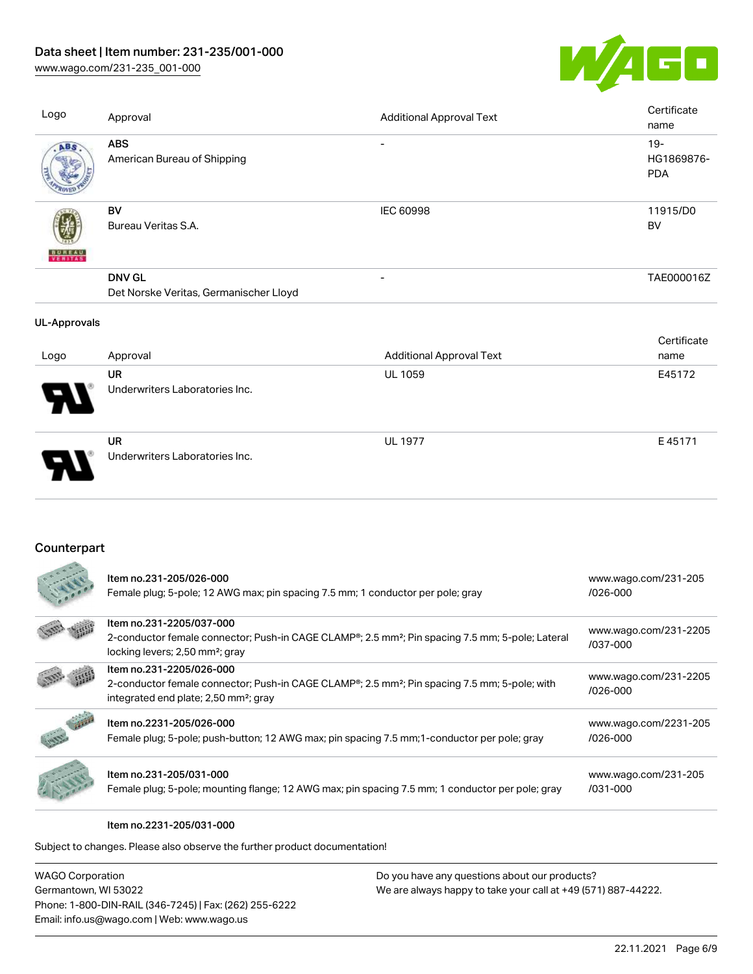# Data sheet | Item number: 231-235/001-000

[www.wago.com/231-235\\_001-000](http://www.wago.com/231-235_001-000)



| Logo                | Approval                                                | <b>Additional Approval Text</b> | Certificate<br>name                |
|---------------------|---------------------------------------------------------|---------------------------------|------------------------------------|
| ABS                 | <b>ABS</b><br>American Bureau of Shipping               |                                 | $19 -$<br>HG1869876-<br><b>PDA</b> |
| <b>BUREAU</b>       | BV<br>Bureau Veritas S.A.                               | <b>IEC 60998</b>                | 11915/D0<br>BV                     |
|                     | <b>DNV GL</b><br>Det Norske Veritas, Germanischer Lloyd | $\overline{\phantom{a}}$        | TAE000016Z                         |
| <b>UL-Approvals</b> |                                                         |                                 |                                    |
| Logo                | Approval                                                | <b>Additional Approval Text</b> | Certificate<br>name                |
|                     | <b>UR</b><br>Underwriters Laboratories Inc.             | UL 1059                         | E45172                             |
|                     | <b>UR</b><br>Underwriters Laboratories Inc.             | <b>UL 1977</b>                  | E45171                             |

## **Counterpart**

| Item no.231-205/026-000<br>Female plug; 5-pole; 12 AWG max; pin spacing 7.5 mm; 1 conductor per pole; gray                                                                  | www.wago.com/231-205<br>$/026 - 000$ |
|-----------------------------------------------------------------------------------------------------------------------------------------------------------------------------|--------------------------------------|
| Item no.231-2205/037-000                                                                                                                                                    | www.wago.com/231-2205                |
| 2-conductor female connector; Push-in CAGE CLAMP®; 2.5 mm <sup>2</sup> ; Pin spacing 7.5 mm; 5-pole; Lateral<br>locking levers; 2,50 mm <sup>2</sup> ; gray                 | /037-000                             |
| Item no.231-2205/026-000                                                                                                                                                    | www.wago.com/231-2205                |
| 2-conductor female connector; Push-in CAGE CLAMP <sup>®</sup> ; 2.5 mm <sup>2</sup> ; Pin spacing 7.5 mm; 5-pole; with<br>integrated end plate; 2,50 mm <sup>2</sup> ; gray | $/026 - 000$                         |
| Item no.2231-205/026-000                                                                                                                                                    | www.wago.com/2231-205                |
| Female plug; 5-pole; push-button; 12 AWG max; pin spacing 7.5 mm; 1-conductor per pole; gray                                                                                | $/026 - 000$                         |
| Item no.231-205/031-000                                                                                                                                                     | www.wago.com/231-205                 |
| Female plug; 5-pole; mounting flange; 12 AWG max; pin spacing 7.5 mm; 1 conductor per pole; gray                                                                            | /031-000                             |

Item no.2231-205/031-000

Subject to changes. Please also observe the further product documentation!

| <b>WAGO Corporation</b>                                |
|--------------------------------------------------------|
| Germantown, WI 53022                                   |
| Phone: 1-800-DIN-RAIL (346-7245)   Fax: (262) 255-6222 |
| Email: info.us@wago.com   Web: www.wago.us             |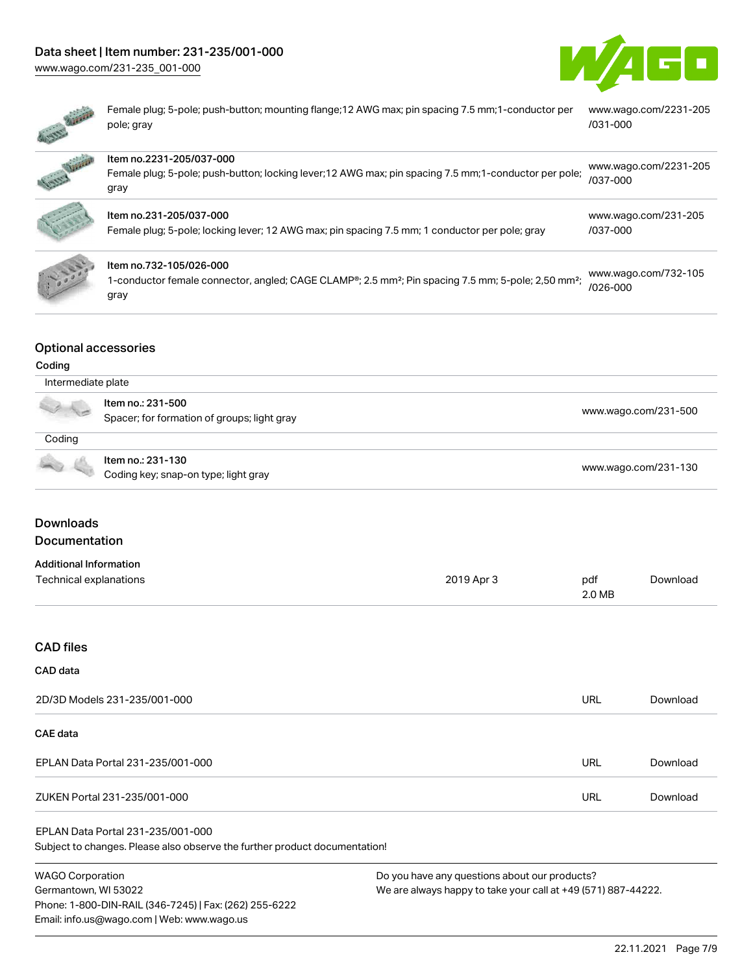# Data sheet | Item number: 231-235/001-000

[www.wago.com/231-235\\_001-000](http://www.wago.com/231-235_001-000)





Female plug; 5-pole; push-button; mounting flange;12 AWG max; pin spacing 7.5 mm;1-conductor per pole; gray [www.wago.com/2231-205](https://www.wago.com/2231-205/031-000) [/031-000](https://www.wago.com/2231-205/031-000)

| Appendent | Item no.2231-205/037-000<br>Female plug; 5-pole; push-button; locking lever; 12 AWG max; pin spacing 7.5 mm; 1-conductor per pole;<br>gray                     | www.wago.com/2231-205<br>/037-000 |
|-----------|----------------------------------------------------------------------------------------------------------------------------------------------------------------|-----------------------------------|
|           | Item no.231-205/037-000<br>Female plug; 5-pole; locking lever; 12 AWG max; pin spacing 7.5 mm; 1 conductor per pole; gray                                      | www.wago.com/231-205<br>/037-000  |
|           | Item no.732-105/026-000<br>1-conductor female connector, angled; CAGE CLAMP®; 2.5 mm <sup>2</sup> ; Pin spacing 7.5 mm; 5-pole; 2,50 mm <sup>2</sup> ;<br>gray | www.wago.com/732-105<br>/026-000  |

## Optional accessories

### Coding

| Intermediate plate                                                                                                                                                                                                                   |                                                                  |                      |  |
|--------------------------------------------------------------------------------------------------------------------------------------------------------------------------------------------------------------------------------------|------------------------------------------------------------------|----------------------|--|
|                                                                                                                                                                                                                                      | ltem no.: 231-500<br>Spacer; for formation of groups; light gray | www.wago.com/231-500 |  |
| Coding                                                                                                                                                                                                                               |                                                                  |                      |  |
| <b>Contract Contract Contract Contract Contract Contract Contract Contract Contract Contract Contract Contract Contract Contract Contract Contract Contract Contract Contract Contract Contract Contract Contract Contract Contr</b> | Item no.: 231-130<br>Coding key; snap-on type; light gray        | www.wago.com/231-130 |  |

## Downloads Documentation

| Additional Information |            |        |          |
|------------------------|------------|--------|----------|
| Technical explanations | 2019 Apr 3 | pdf    | Download |
|                        |            | 2.0 MB |          |

### CAD files

## CAD data

| 2D/3D Models 231-235/001-000      | URL | Download |
|-----------------------------------|-----|----------|
| <b>CAE data</b>                   |     |          |
| EPLAN Data Portal 231-235/001-000 | URL | Download |
| ZUKEN Portal 231-235/001-000      | URL | Download |

### EPLAN Data Portal 231-235/001-000

Subject to changes. Please also observe the further product documentation!

WAGO Corporation Germantown, WI 53022 Phone: 1-800-DIN-RAIL (346-7245) | Fax: (262) 255-6222 Email: info.us@wago.com | Web: www.wago.us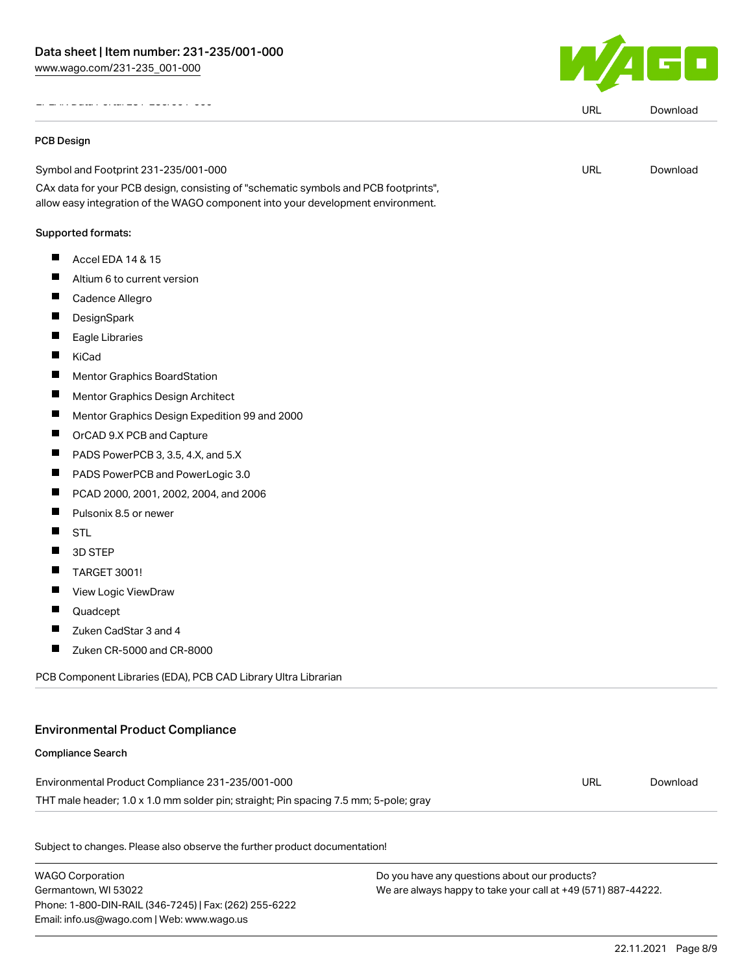EPLAN Data Portal 231-235/001-000

#### PCB Design

Symbol and Footprint 231-235/001-000

CAx data for your PCB design, consisting of "schematic symbols and PCB footprints", allow easy integration of the WAGO component into your development environment.

#### Supported formats:

- $\blacksquare$  Accel EDA 14 & 15
- $\blacksquare$ Altium 6 to current version
- $\blacksquare$ Cadence Allegro
- $\blacksquare$ **DesignSpark**
- $\blacksquare$ Eagle Libraries
- **T** KiCad
- $\blacksquare$ Mentor Graphics BoardStation
- $\blacksquare$ Mentor Graphics Design Architect
- $\blacksquare$ Mentor Graphics Design Expedition 99 and 2000
- $\blacksquare$ OrCAD 9.X PCB and Capture
- П PADS PowerPCB 3, 3.5, 4.X, and 5.X
- П PADS PowerPCB and PowerLogic 3.0
- $\blacksquare$ PCAD 2000, 2001, 2002, 2004, and 2006
- $\blacksquare$ Pulsonix 8.5 or newer
- $\blacksquare$ **STL**
- П 3D STEP
- П TARGET 3001!
- $\blacksquare$ View Logic ViewDraw
- $\blacksquare$ Quadcept
- $\blacksquare$ Zuken CadStar 3 and 4
- П Zuken CR-5000 and CR-8000

PCB Component Libraries (EDA), PCB CAD Library Ultra Librarian

## Environmental Product Compliance

# Compliance Search

Environmental Product Compliance 231-235/001-000 THT male header; 1.0 x 1.0 mm solder pin; straight; Pin spacing 7.5 mm; 5-pole; gray URL [Download](https://www.wago.com/global/d/ComplianceLinkMediaContainer_231-235_001-000)

Subject to changes. Please also observe the further product documentation!

WAGO Corporation Germantown, WI 53022 Phone: 1-800-DIN-RAIL (346-7245) | Fax: (262) 255-6222 Email: info.us@wago.com | Web: www.wago.us

Do you have any questions about our products? We are always happy to take your call at +49 (571) 887-44222.



URL [Download](https://www.wago.com/global/d/EPLAN_URLS_231-235_001-000)

URL [Download](https://www.wago.com/global/d/UltraLibrarian_URLS_231-235_001-000)